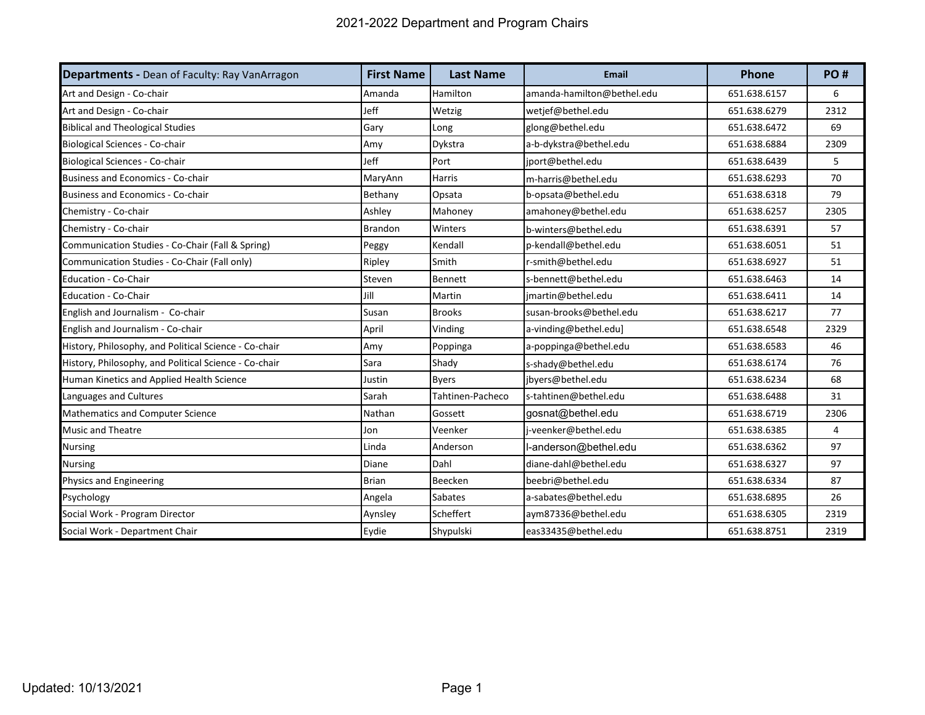| <b>Departments - Dean of Faculty: Ray VanArragon</b>  | <b>First Name</b> | <b>Last Name</b> | <b>Email</b>               | <b>Phone</b> | PO#  |
|-------------------------------------------------------|-------------------|------------------|----------------------------|--------------|------|
| Art and Design - Co-chair                             | Amanda            | Hamilton         | amanda-hamilton@bethel.edu | 651.638.6157 | 6    |
| Art and Design - Co-chair                             | Jeff              | Wetzig           | wetjef@bethel.edu          | 651.638.6279 | 2312 |
| <b>Biblical and Theological Studies</b>               | Gary              | Long             | glong@bethel.edu           | 651.638.6472 | 69   |
| Biological Sciences - Co-chair                        | Amy               | Dykstra          | a-b-dykstra@bethel.edu     | 651.638.6884 | 2309 |
| Biological Sciences - Co-chair                        | Jeff              | Port             | iport@bethel.edu           | 651.638.6439 | 5    |
| Business and Economics - Co-chair                     | MaryAnn           | <b>Harris</b>    | m-harris@bethel.edu        | 651.638.6293 | 70   |
| Business and Economics - Co-chair                     | Bethany           | Opsata           | b-opsata@bethel.edu        | 651.638.6318 | 79   |
| Chemistry - Co-chair                                  | Ashley            | Mahoney          | amahoney@bethel.edu        | 651.638.6257 | 2305 |
| Chemistry - Co-chair                                  | <b>Brandon</b>    | Winters          | b-winters@bethel.edu       | 651.638.6391 | 57   |
| Communication Studies - Co-Chair (Fall & Spring)      | Peggy             | Kendall          | p-kendall@bethel.edu       | 651.638.6051 | 51   |
| Communication Studies - Co-Chair (Fall only)          | Ripley            | Smith            | r-smith@bethel.edu         | 651.638.6927 | 51   |
| <b>Education - Co-Chair</b>                           | Steven            | Bennett          | s-bennett@bethel.edu       | 651.638.6463 | 14   |
| <b>Education - Co-Chair</b>                           | Jill              | Martin           | jmartin@bethel.edu         | 651.638.6411 | 14   |
| English and Journalism - Co-chair                     | Susan             | <b>Brooks</b>    | susan-brooks@bethel.edu    | 651.638.6217 | 77   |
| English and Journalism - Co-chair                     | April             | Vinding          | a-vinding@bethel.edu]      | 651.638.6548 | 2329 |
| History, Philosophy, and Political Science - Co-chair | Amy               | Poppinga         | a-poppinga@bethel.edu      | 651.638.6583 | 46   |
| History, Philosophy, and Political Science - Co-chair | Sara              | Shady            | s-shady@bethel.edu         | 651.638.6174 | 76   |
| Human Kinetics and Applied Health Science             | Justin            | <b>Byers</b>     | jbyers@bethel.edu          | 651.638.6234 | 68   |
| Languages and Cultures                                | Sarah             | Tahtinen-Pacheco | s-tahtinen@bethel.edu      | 651.638.6488 | 31   |
| <b>Mathematics and Computer Science</b>               | Nathan            | Gossett          | gosnat@bethel.edu          | 651.638.6719 | 2306 |
| <b>Music and Theatre</b>                              | Jon               | Veenker          | j-veenker@bethel.edu       | 651.638.6385 | 4    |
| <b>Nursing</b>                                        | Linda             | Anderson         | l-anderson@bethel.edu      | 651.638.6362 | 97   |
| <b>Nursing</b>                                        | Diane             | Dahl             | diane-dahl@bethel.edu      | 651.638.6327 | 97   |
| Physics and Engineering                               | <b>Brian</b>      | <b>Beecken</b>   | beebri@bethel.edu          | 651.638.6334 | 87   |
| Psychology                                            | Angela            | Sabates          | a-sabates@bethel.edu       | 651.638.6895 | 26   |
| Social Work - Program Director                        | Aynsley           | Scheffert        | aym87336@bethel.edu        | 651.638.6305 | 2319 |
| Social Work - Department Chair                        | Eydie             | Shypulski        | eas33435@bethel.edu        | 651.638.8751 | 2319 |